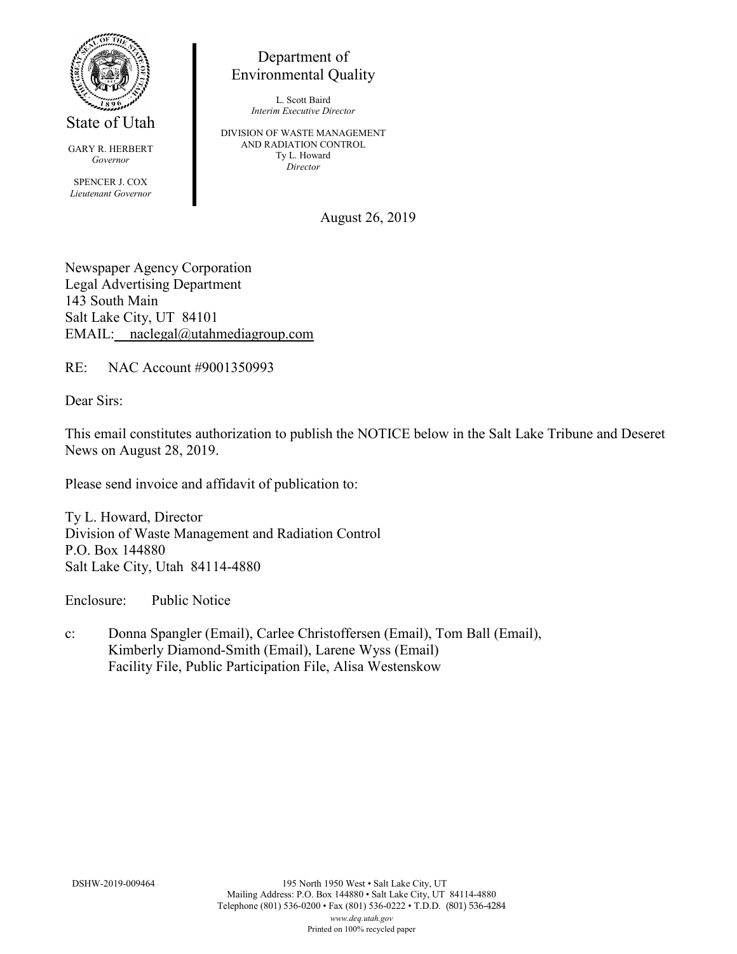

State of Utah

GARY R. HERBERT *Governor* SPENCER J. COX *Lieutenant Governor*

Department of Environmental Quality

> L. Scott Baird *Interim Executive Director*

DIVISION OF WASTE MANAGEMENT AND RADIATION CONTROL Ty L. Howard *Director*

August 26, 2019

Newspaper Agency Corporation Legal Advertising Department 143 South Main Salt Lake City, UT 84101 EMAIL: naclegal@utahmediagroup.com

RE: NAC Account #9001350993

Dear Sirs:

This email constitutes authorization to publish the NOTICE below in the Salt Lake Tribune and Deseret News on August 28, 2019.

Please send invoice and affidavit of publication to:

Ty L. Howard, Director Division of Waste Management and Radiation Control P.O. Box 144880 Salt Lake City, Utah 84114-4880

Enclosure: Public Notice

c: Donna Spangler (Email), Carlee Christoffersen (Email), Tom Ball (Email), Kimberly Diamond-Smith (Email), Larene Wyss (Email) Facility File, Public Participation File, Alisa Westenskow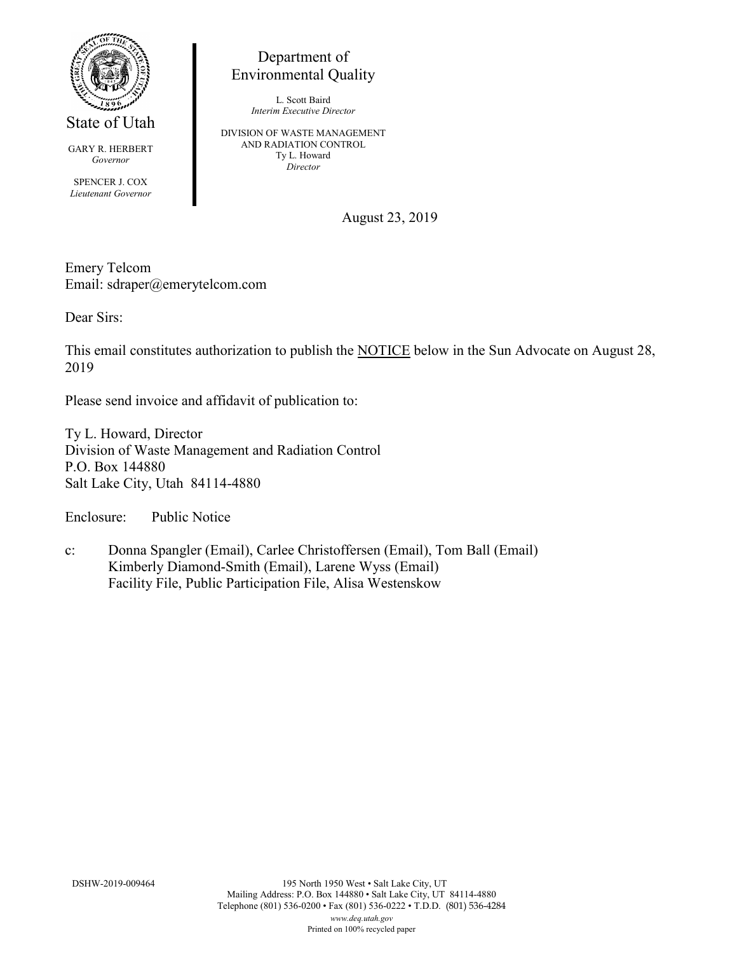

State of Utah

GARY R. HERBERT *Governor*

SPENCER J. COX *Lieutenant Governor*

## Department of Environmental Quality

L. Scott Baird *Interim Executive Director*

DIVISION OF WASTE MANAGEMENT AND RADIATION CONTROL Ty L. Howard *Director*

August 23, 2019

Emery Telcom Email: sdraper@emerytelcom.com

Dear Sirs:

This email constitutes authorization to publish the NOTICE below in the Sun Advocate on August 28, 2019

Please send invoice and affidavit of publication to:

Ty L. Howard, Director Division of Waste Management and Radiation Control P.O. Box 144880 Salt Lake City, Utah 84114-4880

Enclosure: Public Notice

c: Donna Spangler (Email), Carlee Christoffersen (Email), Tom Ball (Email) Kimberly Diamond-Smith (Email), Larene Wyss (Email) Facility File, Public Participation File, Alisa Westenskow